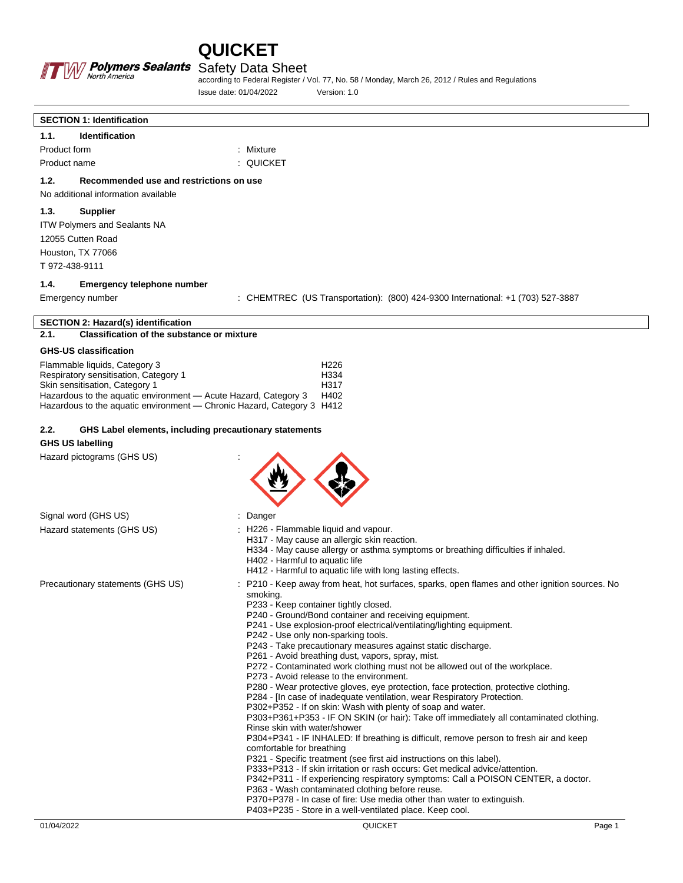



**SECTION 1: Identification**

#### Safety Data Sheet

according to Federal Register / Vol. 77, No. 58 / Monday, March 26, 2012 / Rules and Regulations Issue date: 01/04/2022 Version: 1.0

| Identification<br>1.1.                                                                                                                    |                                                                                                                                                       |
|-------------------------------------------------------------------------------------------------------------------------------------------|-------------------------------------------------------------------------------------------------------------------------------------------------------|
| Product form<br>Product name                                                                                                              | : Mixture<br>: QUICKET                                                                                                                                |
|                                                                                                                                           |                                                                                                                                                       |
| 1.2.<br>Recommended use and restrictions on use<br>No additional information available                                                    |                                                                                                                                                       |
| 1.3.<br><b>Supplier</b>                                                                                                                   |                                                                                                                                                       |
| <b>ITW Polymers and Sealants NA</b><br>12055 Cutten Road                                                                                  |                                                                                                                                                       |
| Houston, TX 77066                                                                                                                         |                                                                                                                                                       |
| T 972-438-9111                                                                                                                            |                                                                                                                                                       |
| 1.4.<br>Emergency telephone number                                                                                                        |                                                                                                                                                       |
| Emergency number                                                                                                                          | : CHEMTREC (US Transportation): (800) 424-9300 International: +1 (703) 527-3887                                                                       |
| <b>SECTION 2: Hazard(s) identification</b>                                                                                                |                                                                                                                                                       |
| <b>Classification of the substance or mixture</b><br>2.1.                                                                                 |                                                                                                                                                       |
| <b>GHS-US classification</b>                                                                                                              |                                                                                                                                                       |
| Flammable liquids, Category 3<br>Respiratory sensitisation, Category 1                                                                    | H <sub>226</sub><br>H334                                                                                                                              |
| Skin sensitisation, Category 1                                                                                                            | H317                                                                                                                                                  |
| Hazardous to the aquatic environment - Acute Hazard, Category 3<br>Hazardous to the aquatic environment - Chronic Hazard, Category 3 H412 | H402                                                                                                                                                  |
|                                                                                                                                           |                                                                                                                                                       |
| 2.2.<br>GHS Label elements, including precautionary statements<br><b>GHS US labelling</b>                                                 |                                                                                                                                                       |
| Hazard pictograms (GHS US)                                                                                                                |                                                                                                                                                       |
|                                                                                                                                           |                                                                                                                                                       |
|                                                                                                                                           |                                                                                                                                                       |
|                                                                                                                                           |                                                                                                                                                       |
| Signal word (GHS US)                                                                                                                      | : Danger                                                                                                                                              |
| Hazard statements (GHS US)                                                                                                                | : H226 - Flammable liquid and vapour.<br>H317 - May cause an allergic skin reaction.                                                                  |
|                                                                                                                                           | H334 - May cause allergy or asthma symptoms or breathing difficulties if inhaled.                                                                     |
|                                                                                                                                           | H402 - Harmful to aquatic life<br>H412 - Harmful to aquatic life with long lasting effects.                                                           |
| Precautionary statements (GHS US)                                                                                                         | : P210 - Keep away from heat, hot surfaces, sparks, open flames and other ignition sources. No                                                        |
|                                                                                                                                           | smoking.                                                                                                                                              |
|                                                                                                                                           | P233 - Keep container tightly closed.<br>P240 - Ground/Bond container and receiving equipment.                                                        |
|                                                                                                                                           | P241 - Use explosion-proof electrical/ventilating/lighting equipment.                                                                                 |
|                                                                                                                                           | P242 - Use only non-sparking tools.<br>P243 - Take precautionary measures against static discharge.                                                   |
|                                                                                                                                           | P261 - Avoid breathing dust, vapors, spray, mist.                                                                                                     |
|                                                                                                                                           | P272 - Contaminated work clothing must not be allowed out of the workplace.<br>P273 - Avoid release to the environment.                               |
|                                                                                                                                           | P280 - Wear protective gloves, eye protection, face protection, protective clothing.                                                                  |
|                                                                                                                                           | P284 - In case of inadequate ventilation, wear Respiratory Protection.<br>P302+P352 - If on skin: Wash with plenty of soap and water.                 |
|                                                                                                                                           | P303+P361+P353 - IF ON SKIN (or hair): Take off immediately all contaminated clothing.                                                                |
|                                                                                                                                           | Rinse skin with water/shower<br>P304+P341 - IF INHALED: If breathing is difficult, remove person to fresh air and keep                                |
|                                                                                                                                           | comfortable for breathing                                                                                                                             |
|                                                                                                                                           | P321 - Specific treatment (see first aid instructions on this label).<br>P333+P313 - If skin irritation or rash occurs: Get medical advice/attention. |
|                                                                                                                                           | P342+P311 - If experiencing respiratory symptoms: Call a POISON CENTER, a doctor.                                                                     |
|                                                                                                                                           | P363 - Wash contaminated clothing before reuse.<br>P370+P378 - In case of fire: Use media other than water to extinguish.                             |
|                                                                                                                                           | P403+P235 - Store in a well-ventilated place. Keep cool.                                                                                              |
| 01/04/2022                                                                                                                                | <b>QUICKET</b><br>Page 1                                                                                                                              |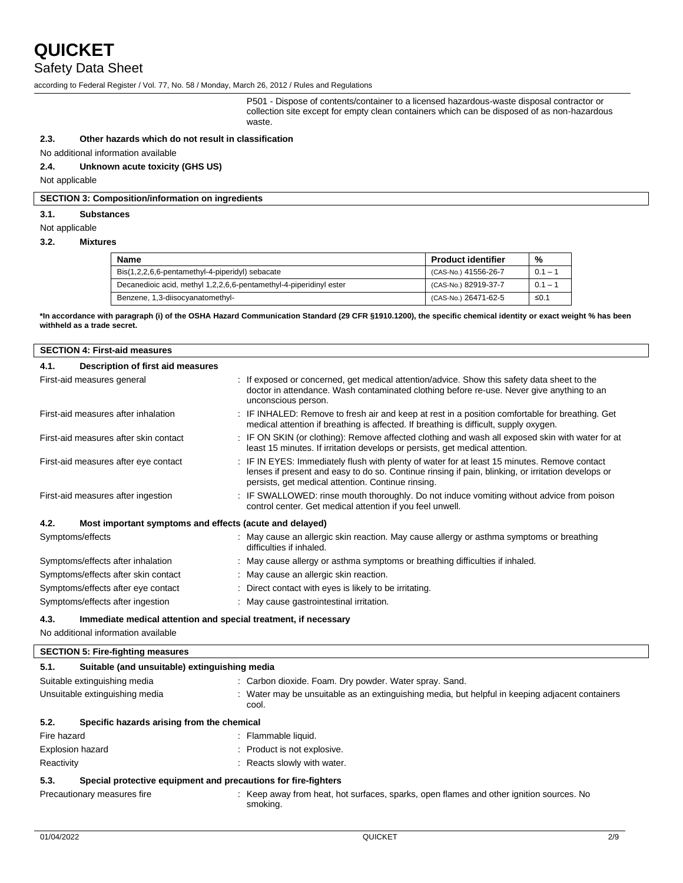### Safety Data Sheet

according to Federal Register / Vol. 77, No. 58 / Monday, March 26, 2012 / Rules and Regulations

P501 - Dispose of contents/container to a licensed hazardous-waste disposal contractor or collection site except for empty clean containers which can be disposed of as non-hazardous waste.

#### **2.3. Other hazards which do not result in classification**

No additional information available

**2.4. Unknown acute toxicity (GHS US)**

Not applicable

#### **SECTION 3: Composition/information on ingredients**

#### **3.1. Substances**

Not applicable

#### **3.2. Mixtures**

| Name                                                               | <b>Product identifier</b> | %         |
|--------------------------------------------------------------------|---------------------------|-----------|
| Bis(1,2,2,6,6-pentamethyl-4-piperidyl) sebacate                    | (CAS-No.) 41556-26-7      | $0.1 - 1$ |
| Decanedioic acid, methyl 1,2,2,6,6-pentamethyl-4-piperidinyl ester | (CAS-No.) 82919-37-7      | $0.1 - 1$ |
| Benzene, 1,3-diisocyanatomethyl-                                   | (CAS-No.) 26471-62-5      | ≤0.1      |

**\*In accordance with paragraph (i) of the OSHA Hazard Communication Standard (29 CFR §1910.1200), the specific chemical identity or exact weight % has been withheld as a trade secret.**

| <b>SECTION 4: First-aid measures</b> |                                                         |                                                                                                                                                                                                                                                          |
|--------------------------------------|---------------------------------------------------------|----------------------------------------------------------------------------------------------------------------------------------------------------------------------------------------------------------------------------------------------------------|
| 4.1.                                 | Description of first aid measures                       |                                                                                                                                                                                                                                                          |
|                                      | First-aid measures general                              | : If exposed or concerned, get medical attention/advice. Show this safety data sheet to the<br>doctor in attendance. Wash contaminated clothing before re-use. Never give anything to an<br>unconscious person.                                          |
|                                      | First-aid measures after inhalation                     | : IF INHALED: Remove to fresh air and keep at rest in a position comfortable for breathing. Get<br>medical attention if breathing is affected. If breathing is difficult, supply oxygen.                                                                 |
|                                      | First-aid measures after skin contact                   | : IF ON SKIN (or clothing): Remove affected clothing and wash all exposed skin with water for at<br>least 15 minutes. If irritation develops or persists, get medical attention.                                                                         |
|                                      | First-aid measures after eye contact                    | : IF IN EYES: Immediately flush with plenty of water for at least 15 minutes. Remove contact<br>lenses if present and easy to do so. Continue rinsing if pain, blinking, or irritation develops or<br>persists, get medical attention. Continue rinsing. |
|                                      | First-aid measures after ingestion                      | : IF SWALLOWED: rinse mouth thoroughly. Do not induce vomiting without advice from poison<br>control center. Get medical attention if you feel unwell.                                                                                                   |
| 4.2.                                 | Most important symptoms and effects (acute and delayed) |                                                                                                                                                                                                                                                          |
|                                      | Symptoms/effects                                        | : May cause an allergic skin reaction. May cause allergy or asthma symptoms or breathing<br>difficulties if inhaled.                                                                                                                                     |
|                                      | Symptoms/effects after inhalation                       | : May cause allergy or asthma symptoms or breathing difficulties if inhaled.                                                                                                                                                                             |
|                                      | Symptoms/effects after skin contact                     | : May cause an allergic skin reaction.                                                                                                                                                                                                                   |
|                                      | Symptoms/effects after eye contact                      | : Direct contact with eyes is likely to be irritating.                                                                                                                                                                                                   |
|                                      | Symptoms/effects after ingestion                        | : May cause gastrointestinal irritation.                                                                                                                                                                                                                 |

#### **4.3. Immediate medical attention and special treatment, if necessary**

No additional information available

#### **SECTION 5: Fire-fighting measures**

| 5.1.                    | Suitable (and unsuitable) extinguishing media                  |  |                                                                                                          |
|-------------------------|----------------------------------------------------------------|--|----------------------------------------------------------------------------------------------------------|
|                         | Suitable extinguishing media                                   |  | : Carbon dioxide. Foam. Dry powder. Water spray. Sand.                                                   |
|                         | Unsuitable extinguishing media                                 |  | : Water may be unsuitable as an extinguishing media, but helpful in keeping adjacent containers<br>cool. |
| 5.2.                    | Specific hazards arising from the chemical                     |  |                                                                                                          |
| Fire hazard             |                                                                |  | : Flammable liquid.                                                                                      |
| <b>Explosion hazard</b> |                                                                |  | : Product is not explosive.                                                                              |
| Reactivity              |                                                                |  | : Reacts slowly with water.                                                                              |
| 5.3.                    | Special protective equipment and precautions for fire-fighters |  |                                                                                                          |
|                         | Precautionary measures fire                                    |  | : Keep away from heat, hot surfaces, sparks, open flames and other ignition sources. No<br>smoking.      |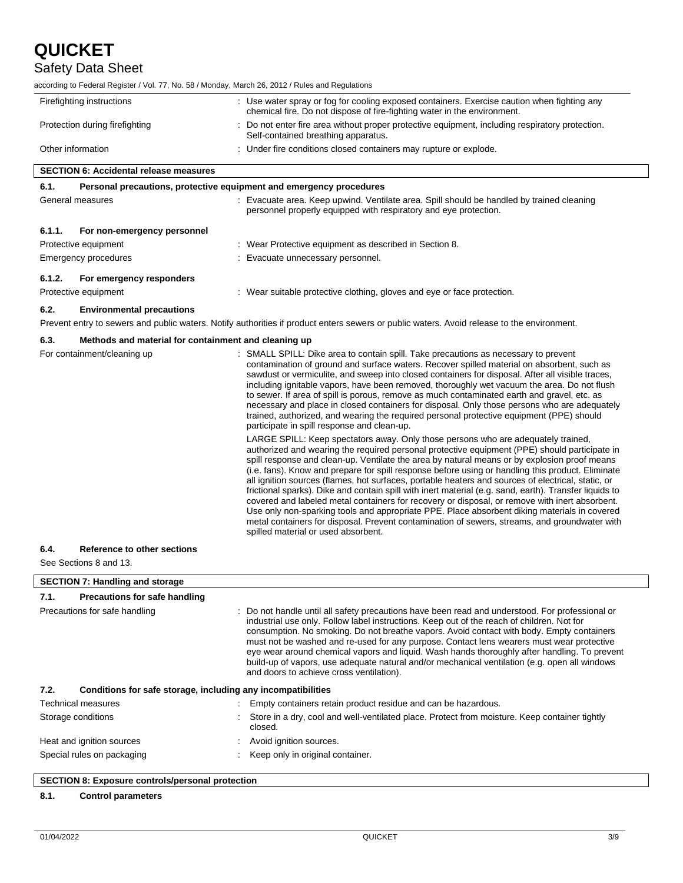$\overline{\phantom{a}}$ 

### Safety Data Sheet

according to Federal Register / Vol. 77, No. 58 / Monday, March 26, 2012 / Rules and Regulations

| Firefighting instructions                                                   | : Use water spray or fog for cooling exposed containers. Exercise caution when fighting any<br>chemical fire. Do not dispose of fire-fighting water in the environment.                                                                                                                                                                                                                                                                                                                                                                                                                                                                                                                                                                                                                                                                                                                                                                           |
|-----------------------------------------------------------------------------|---------------------------------------------------------------------------------------------------------------------------------------------------------------------------------------------------------------------------------------------------------------------------------------------------------------------------------------------------------------------------------------------------------------------------------------------------------------------------------------------------------------------------------------------------------------------------------------------------------------------------------------------------------------------------------------------------------------------------------------------------------------------------------------------------------------------------------------------------------------------------------------------------------------------------------------------------|
| Protection during firefighting                                              | : Do not enter fire area without proper protective equipment, including respiratory protection.<br>Self-contained breathing apparatus.                                                                                                                                                                                                                                                                                                                                                                                                                                                                                                                                                                                                                                                                                                                                                                                                            |
| Other information                                                           | : Under fire conditions closed containers may rupture or explode.                                                                                                                                                                                                                                                                                                                                                                                                                                                                                                                                                                                                                                                                                                                                                                                                                                                                                 |
| <b>SECTION 6: Accidental release measures</b>                               |                                                                                                                                                                                                                                                                                                                                                                                                                                                                                                                                                                                                                                                                                                                                                                                                                                                                                                                                                   |
| 6.1.<br>Personal precautions, protective equipment and emergency procedures |                                                                                                                                                                                                                                                                                                                                                                                                                                                                                                                                                                                                                                                                                                                                                                                                                                                                                                                                                   |
| General measures                                                            | : Evacuate area. Keep upwind. Ventilate area. Spill should be handled by trained cleaning<br>personnel properly equipped with respiratory and eye protection.                                                                                                                                                                                                                                                                                                                                                                                                                                                                                                                                                                                                                                                                                                                                                                                     |
| 6.1.1.<br>For non-emergency personnel                                       |                                                                                                                                                                                                                                                                                                                                                                                                                                                                                                                                                                                                                                                                                                                                                                                                                                                                                                                                                   |
| Protective equipment                                                        | : Wear Protective equipment as described in Section 8.                                                                                                                                                                                                                                                                                                                                                                                                                                                                                                                                                                                                                                                                                                                                                                                                                                                                                            |
| <b>Emergency procedures</b>                                                 | Evacuate unnecessary personnel.                                                                                                                                                                                                                                                                                                                                                                                                                                                                                                                                                                                                                                                                                                                                                                                                                                                                                                                   |
| 6.1.2.<br>For emergency responders                                          |                                                                                                                                                                                                                                                                                                                                                                                                                                                                                                                                                                                                                                                                                                                                                                                                                                                                                                                                                   |
| Protective equipment                                                        | : Wear suitable protective clothing, gloves and eye or face protection.                                                                                                                                                                                                                                                                                                                                                                                                                                                                                                                                                                                                                                                                                                                                                                                                                                                                           |
| 6.2.<br><b>Environmental precautions</b>                                    |                                                                                                                                                                                                                                                                                                                                                                                                                                                                                                                                                                                                                                                                                                                                                                                                                                                                                                                                                   |
|                                                                             | Prevent entry to sewers and public waters. Notify authorities if product enters sewers or public waters. Avoid release to the environment.                                                                                                                                                                                                                                                                                                                                                                                                                                                                                                                                                                                                                                                                                                                                                                                                        |
| 6.3.<br>Methods and material for containment and cleaning up                |                                                                                                                                                                                                                                                                                                                                                                                                                                                                                                                                                                                                                                                                                                                                                                                                                                                                                                                                                   |
| For containment/cleaning up                                                 | : SMALL SPILL: Dike area to contain spill. Take precautions as necessary to prevent<br>contamination of ground and surface waters. Recover spilled material on absorbent, such as<br>sawdust or vermiculite, and sweep into closed containers for disposal. After all visible traces,<br>including ignitable vapors, have been removed, thoroughly wet vacuum the area. Do not flush<br>to sewer. If area of spill is porous, remove as much contaminated earth and gravel, etc. as<br>necessary and place in closed containers for disposal. Only those persons who are adequately<br>trained, authorized, and wearing the required personal protective equipment (PPE) should<br>participate in spill response and clean-up.                                                                                                                                                                                                                    |
|                                                                             | LARGE SPILL: Keep spectators away. Only those persons who are adequately trained,<br>authorized and wearing the required personal protective equipment (PPE) should participate in<br>spill response and clean-up. Ventilate the area by natural means or by explosion proof means<br>(i.e. fans). Know and prepare for spill response before using or handling this product. Eliminate<br>all ignition sources (flames, hot surfaces, portable heaters and sources of electrical, static, or<br>frictional sparks). Dike and contain spill with inert material (e.g. sand, earth). Transfer liquids to<br>covered and labeled metal containers for recovery or disposal, or remove with inert absorbent.<br>Use only non-sparking tools and appropriate PPE. Place absorbent diking materials in covered<br>metal containers for disposal. Prevent contamination of sewers, streams, and groundwater with<br>spilled material or used absorbent. |
| <b>Reference to other sections</b><br>6.4.                                  |                                                                                                                                                                                                                                                                                                                                                                                                                                                                                                                                                                                                                                                                                                                                                                                                                                                                                                                                                   |
| See Sections 8 and 13.                                                      |                                                                                                                                                                                                                                                                                                                                                                                                                                                                                                                                                                                                                                                                                                                                                                                                                                                                                                                                                   |
| <b>SECTION 7: Handling and storage</b>                                      |                                                                                                                                                                                                                                                                                                                                                                                                                                                                                                                                                                                                                                                                                                                                                                                                                                                                                                                                                   |
| 7.1.<br>Precautions for safe handling                                       |                                                                                                                                                                                                                                                                                                                                                                                                                                                                                                                                                                                                                                                                                                                                                                                                                                                                                                                                                   |
| Precautions for safe handling                                               | : Do not handle until all safety precautions have been read and understood. For professional or<br>industrial use only. Follow label instructions. Keep out of the reach of children. Not for<br>consumption. No smoking. Do not breathe vapors. Avoid contact with body. Empty containers<br>must not be washed and re-used for any purpose. Contact lens wearers must wear protective<br>eye wear around chemical vapors and liquid. Wash hands thoroughly after handling. To prevent<br>build-up of vapors, use adequate natural and/or mechanical ventilation (e.g. open all windows<br>and doors to achieve cross ventilation).                                                                                                                                                                                                                                                                                                              |
| 7.2.<br>Conditions for safe storage, including any incompatibilities        |                                                                                                                                                                                                                                                                                                                                                                                                                                                                                                                                                                                                                                                                                                                                                                                                                                                                                                                                                   |
| Technical measures                                                          | Empty containers retain product residue and can be hazardous.                                                                                                                                                                                                                                                                                                                                                                                                                                                                                                                                                                                                                                                                                                                                                                                                                                                                                     |
| Storage conditions                                                          | Store in a dry, cool and well-ventilated place. Protect from moisture. Keep container tightly<br>closed.                                                                                                                                                                                                                                                                                                                                                                                                                                                                                                                                                                                                                                                                                                                                                                                                                                          |
| Heat and ignition sources                                                   | Avoid ignition sources.                                                                                                                                                                                                                                                                                                                                                                                                                                                                                                                                                                                                                                                                                                                                                                                                                                                                                                                           |
| Special rules on packaging                                                  | Keep only in original container.                                                                                                                                                                                                                                                                                                                                                                                                                                                                                                                                                                                                                                                                                                                                                                                                                                                                                                                  |

#### **8.1. Control parameters**

 $\overline{\phantom{a}}$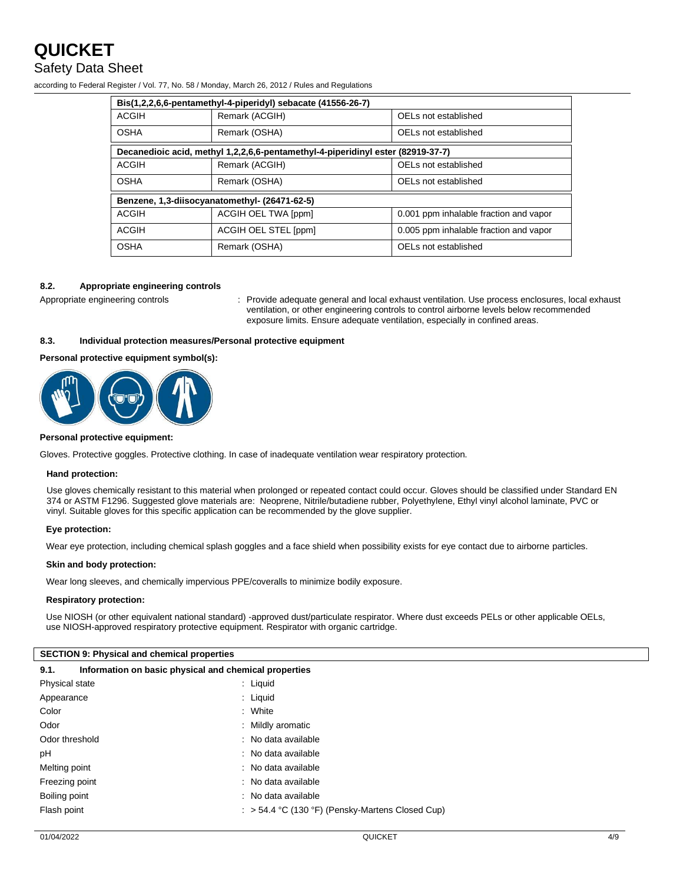### **QUICKET** Safety Data Sheet

| according to Federal Register / Vol. 77, No. 58 / Monday, March 26, 2012 / Rules and Regulations |  |
|--------------------------------------------------------------------------------------------------|--|
|--------------------------------------------------------------------------------------------------|--|

| Bis(1,2,2,6,6-pentamethyl-4-piperidyl) sebacate (41556-26-7)                    |                                       |                                        |  |  |
|---------------------------------------------------------------------------------|---------------------------------------|----------------------------------------|--|--|
| <b>ACGIH</b>                                                                    | Remark (ACGIH)                        | OELs not established                   |  |  |
| <b>OSHA</b>                                                                     | Remark (OSHA)<br>OELs not established |                                        |  |  |
| Decanedioic acid, methyl 1,2,2,6,6-pentamethyl-4-piperidinyl ester (82919-37-7) |                                       |                                        |  |  |
| <b>ACGIH</b>                                                                    | Remark (ACGIH)                        | OELs not established                   |  |  |
| <b>OSHA</b>                                                                     | Remark (OSHA)<br>OELs not established |                                        |  |  |
| Benzene, 1,3-diisocyanatomethyl- (26471-62-5)                                   |                                       |                                        |  |  |
| <b>ACGIH</b>                                                                    | ACGIH OEL TWA [ppm]                   | 0.001 ppm inhalable fraction and vapor |  |  |
| <b>ACGIH</b>                                                                    | ACGIH OEL STEL [ppm]                  | 0.005 ppm inhalable fraction and vapor |  |  |
| <b>OSHA</b>                                                                     | Remark (OSHA)                         | OELs not established                   |  |  |

#### **8.2. Appropriate engineering controls**

Appropriate engineering controls : Provide adequate general and local exhaust ventilation. Use process enclosures, local exhaust ventilation, or other engineering controls to control airborne levels below recommended exposure limits. Ensure adequate ventilation, especially in confined areas.

#### **8.3. Individual protection measures/Personal protective equipment**

#### **Personal protective equipment symbol(s):**



#### **Personal protective equipment:**

Gloves. Protective goggles. Protective clothing. In case of inadequate ventilation wear respiratory protection.

#### **Hand protection:**

Use gloves chemically resistant to this material when prolonged or repeated contact could occur. Gloves should be classified under Standard EN 374 or ASTM F1296. Suggested glove materials are: Neoprene, Nitrile/butadiene rubber, Polyethylene, Ethyl vinyl alcohol laminate, PVC or vinyl. Suitable gloves for this specific application can be recommended by the glove supplier.

#### **Eye protection:**

Wear eye protection, including chemical splash goggles and a face shield when possibility exists for eye contact due to airborne particles.

#### **Skin and body protection:**

Wear long sleeves, and chemically impervious PPE/coveralls to minimize bodily exposure.

#### **Respiratory protection:**

Use NIOSH (or other equivalent national standard) -approved dust/particulate respirator. Where dust exceeds PELs or other applicable OELs, use NIOSH-approved respiratory protective equipment. Respirator with organic cartridge.

| <b>SECTION 9: Physical and chemical properties</b>            |                                                             |  |
|---------------------------------------------------------------|-------------------------------------------------------------|--|
| Information on basic physical and chemical properties<br>9.1. |                                                             |  |
| Physical state                                                | : Liguid                                                    |  |
| Appearance                                                    | : Liguid                                                    |  |
| Color                                                         | : White                                                     |  |
| Odor                                                          | : Mildly aromatic                                           |  |
| Odor threshold                                                | : No data available                                         |  |
| рH                                                            | : No data available                                         |  |
| Melting point                                                 | : No data available                                         |  |
| Freezing point                                                | : No data available                                         |  |
| Boiling point                                                 | : No data available                                         |  |
| Flash point                                                   | $\therefore$ > 54.4 °C (130 °F) (Pensky-Martens Closed Cup) |  |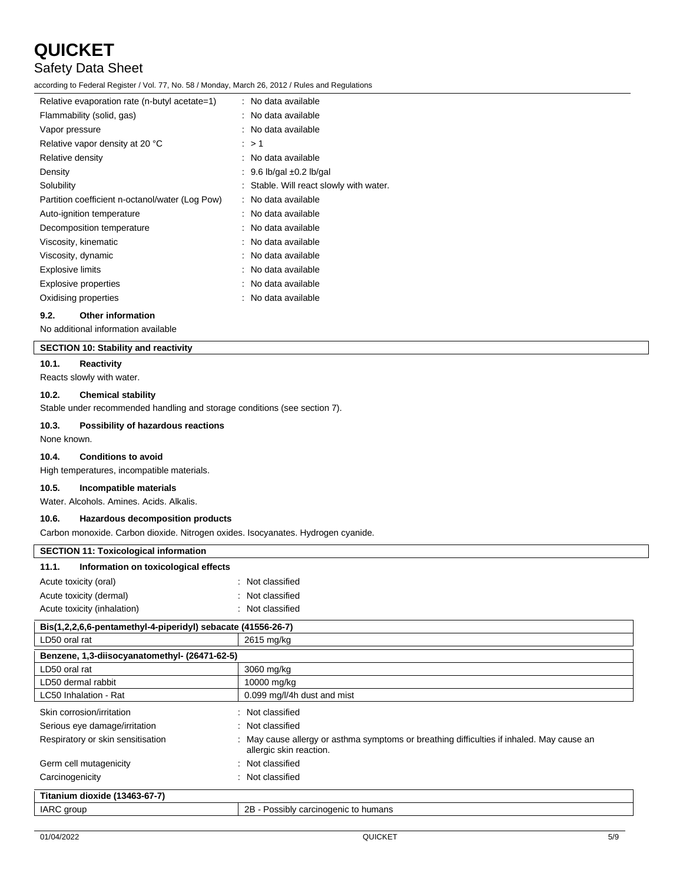### Safety Data Sheet

according to Federal Register / Vol. 77, No. 58 / Monday, March 26, 2012 / Rules and Regulations

| Relative evaporation rate (n-butyl acetate=1)   | : No data available                     |
|-------------------------------------------------|-----------------------------------------|
| Flammability (solid, gas)                       | : No data available                     |
| Vapor pressure                                  | : No data available                     |
| Relative vapor density at 20 °C                 | : > 1                                   |
| Relative density                                | : No data available                     |
| Density                                         | : 9.6 lb/gal $\pm$ 0.2 lb/gal           |
| Solubility                                      | : Stable. Will react slowly with water. |
| Partition coefficient n-octanol/water (Log Pow) | : No data available                     |
| Auto-ignition temperature                       | : No data available                     |
| Decomposition temperature                       | : No data available                     |
| Viscosity, kinematic                            | : No data available                     |
| Viscosity, dynamic                              | : No data available                     |
| Explosive limits                                | : No data available                     |
| Explosive properties                            | : No data available                     |
| Oxidising properties                            | : No data available                     |
|                                                 |                                         |

#### **9.2. Other information**

No additional information available

#### **SECTION 10: Stability and reactivity**

**10.1. Reactivity**

Reacts slowly with water.

#### **10.2. Chemical stability**

Stable under recommended handling and storage conditions (see section 7).

#### **10.3. Possibility of hazardous reactions**

None known.

#### **10.4. Conditions to avoid**

High temperatures, incompatible materials.

#### **10.5. Incompatible materials**

Water. Alcohols. Amines. Acids. Alkalis.

#### **10.6. Hazardous decomposition products**

Carbon monoxide. Carbon dioxide. Nitrogen oxides. Isocyanates. Hydrogen cyanide.

| <b>SECTION 11: Toxicological information</b>                 |                                                                                                                      |
|--------------------------------------------------------------|----------------------------------------------------------------------------------------------------------------------|
| Information on toxicological effects<br>11.1.                |                                                                                                                      |
| Acute toxicity (oral)                                        | : Not classified                                                                                                     |
| Acute toxicity (dermal)                                      | : Not classified                                                                                                     |
| Acute toxicity (inhalation)                                  | : Not classified                                                                                                     |
| Bis(1,2,2,6,6-pentamethyl-4-piperidyl) sebacate (41556-26-7) |                                                                                                                      |
| LD50 oral rat                                                | 2615 mg/kg                                                                                                           |
| Benzene, 1,3-diisocyanatomethyl- (26471-62-5)                |                                                                                                                      |
| LD50 oral rat                                                | 3060 mg/kg                                                                                                           |
| LD50 dermal rabbit                                           | 10000 mg/kg                                                                                                          |
| LC50 Inhalation - Rat                                        | 0.099 mg/l/4h dust and mist                                                                                          |
| Skin corrosion/irritation                                    | : Not classified                                                                                                     |
| Serious eye damage/irritation                                | : Not classified                                                                                                     |
| Respiratory or skin sensitisation                            | : May cause allergy or asthma symptoms or breathing difficulties if inhaled. May cause an<br>allergic skin reaction. |
| Germ cell mutagenicity                                       | : Not classified                                                                                                     |
| Carcinogenicity                                              | : Not classified                                                                                                     |

| $\sim$                        |                                      |
|-------------------------------|--------------------------------------|
| Titanium dioxide (13463-67-7) |                                      |
| <b>IARC</b> group             | 2B - Possibly carcinogenic to humans |
|                               |                                      |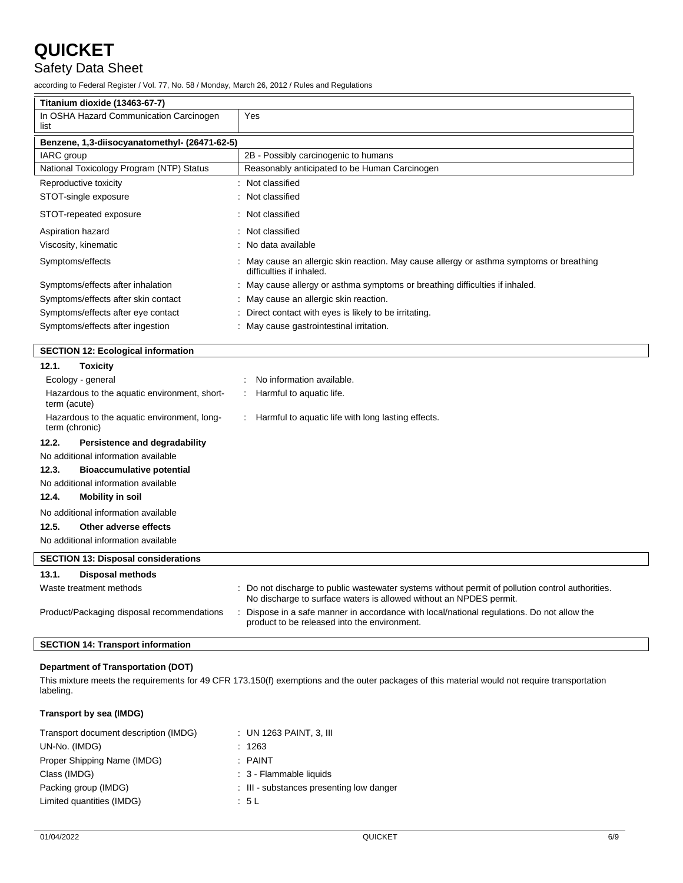### Safety Data Sheet

according to Federal Register / Vol. 77, No. 58 / Monday, March 26, 2012 / Rules and Regulations

| Titanium dioxide (13463-67-7)                                 |                                                                                                                                                                        |  |
|---------------------------------------------------------------|------------------------------------------------------------------------------------------------------------------------------------------------------------------------|--|
| In OSHA Hazard Communication Carcinogen<br>list               | Yes                                                                                                                                                                    |  |
| Benzene, 1,3-diisocyanatomethyl- (26471-62-5)                 |                                                                                                                                                                        |  |
| IARC group                                                    | 2B - Possibly carcinogenic to humans                                                                                                                                   |  |
| National Toxicology Program (NTP) Status                      | Reasonably anticipated to be Human Carcinogen                                                                                                                          |  |
| Reproductive toxicity                                         | : Not classified                                                                                                                                                       |  |
| STOT-single exposure                                          | : Not classified                                                                                                                                                       |  |
| STOT-repeated exposure                                        | : Not classified                                                                                                                                                       |  |
| Aspiration hazard                                             | : Not classified                                                                                                                                                       |  |
| Viscosity, kinematic                                          | : No data available                                                                                                                                                    |  |
| Symptoms/effects                                              | : May cause an allergic skin reaction. May cause allergy or asthma symptoms or breathing<br>difficulties if inhaled.                                                   |  |
| Symptoms/effects after inhalation                             | : May cause allergy or asthma symptoms or breathing difficulties if inhaled.                                                                                           |  |
| Symptoms/effects after skin contact                           | : May cause an allergic skin reaction.                                                                                                                                 |  |
| Symptoms/effects after eye contact                            | Direct contact with eyes is likely to be irritating.                                                                                                                   |  |
| Symptoms/effects after ingestion                              | : May cause gastrointestinal irritation.                                                                                                                               |  |
| <b>SECTION 12: Ecological information</b>                     |                                                                                                                                                                        |  |
| 12.1.<br><b>Toxicity</b>                                      |                                                                                                                                                                        |  |
| Ecology - general                                             | No information available.                                                                                                                                              |  |
| Hazardous to the aquatic environment, short-<br>term (acute)  | Harmful to aquatic life.                                                                                                                                               |  |
| Hazardous to the aquatic environment, long-<br>term (chronic) | Harmful to aquatic life with long lasting effects.                                                                                                                     |  |
| 12.2.<br><b>Persistence and degradability</b>                 |                                                                                                                                                                        |  |
| No additional information available                           |                                                                                                                                                                        |  |
| 12.3.<br><b>Bioaccumulative potential</b>                     |                                                                                                                                                                        |  |
| No additional information available                           |                                                                                                                                                                        |  |
| 12.4.<br><b>Mobility in soil</b>                              |                                                                                                                                                                        |  |
| No additional information available                           |                                                                                                                                                                        |  |
| 12.5.<br>Other adverse effects                                |                                                                                                                                                                        |  |
| No additional information available                           |                                                                                                                                                                        |  |
| <b>SECTION 13: Disposal considerations</b>                    |                                                                                                                                                                        |  |
| 13.1.<br>Disposal methods                                     |                                                                                                                                                                        |  |
| Waste treatment methods                                       | : Do not discharge to public wastewater systems without permit of pollution control authorities.<br>No discharge to surface waters is allowed without an NPDES permit. |  |
| Product/Packaging disposal recommendations                    | Dispose in a safe manner in accordance with local/national regulations. Do not allow the<br>product to be released into the environment.                               |  |
| <b>SECTION 14: Transport information</b>                      |                                                                                                                                                                        |  |
|                                                               |                                                                                                                                                                        |  |

#### **Department of Transportation (DOT)**

This mixture meets the requirements for 49 CFR 173.150(f) exemptions and the outer packages of this material would not require transportation labeling.

#### **Transport by sea (IMDG)**

| Transport document description (IMDG) | $\therefore$ UN 1263 PAINT, 3, III       |
|---------------------------------------|------------------------------------------|
| UN-No. (IMDG)                         | : 1263                                   |
| Proper Shipping Name (IMDG)           | $:$ PAINT                                |
| Class (IMDG)                          | : 3 - Flammable liquids                  |
| Packing group (IMDG)                  | : III - substances presenting low danger |
| Limited quantities (IMDG)             | : 5 L                                    |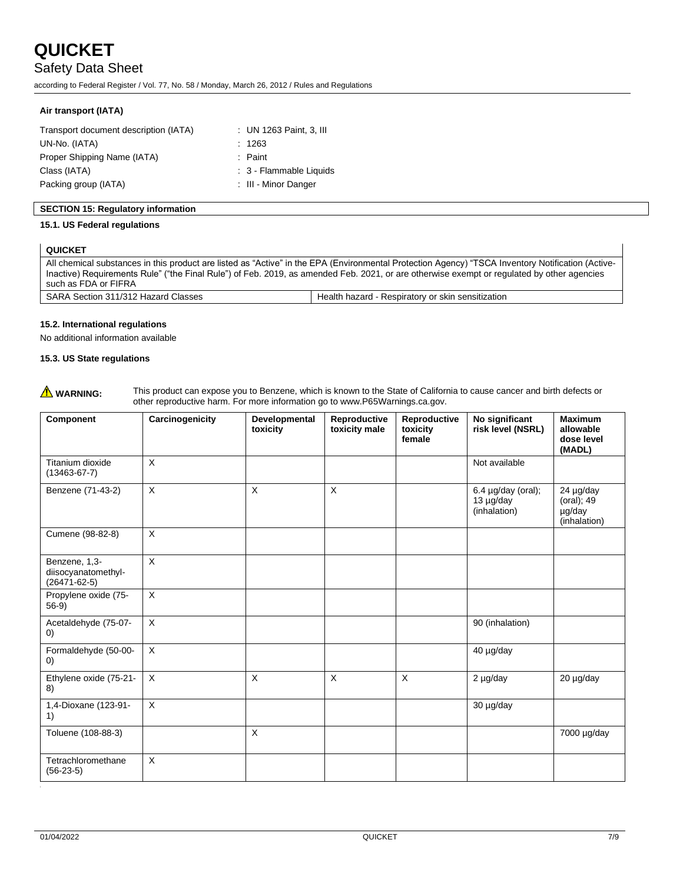Safety Data Sheet

according to Federal Register / Vol. 77, No. 58 / Monday, March 26, 2012 / Rules and Regulations

#### **Air transport (IATA)**

| Transport document description (IATA) | : UN 1263 Paint, 3, III |
|---------------------------------------|-------------------------|
| UN-No. (IATA)                         | : 1263                  |
| Proper Shipping Name (IATA)           | $:$ Paint               |
| Class (IATA)                          | : 3 - Flammable Liquids |
| Packing group (IATA)                  | : III - Minor Danger    |

#### **SECTION 15: Regulatory information**

#### **15.1. US Federal regulations**

#### **QUICKET**

All chemical substances in this product are listed as "Active" in the EPA (Environmental Protection Agency) "TSCA Inventory Notification (Active-Inactive) Requirements Rule" ("the Final Rule") of Feb. 2019, as amended Feb. 2021, or are otherwise exempt or regulated by other agencies such as FDA or FIFRA SARA Section 311/312 Hazard Classes Health hazard - Respiratory or skin sensitization

#### **15.2. International regulations**

No additional information available

#### **15.3. US State regulations**

|  | $\Lambda$ WARNING: |
|--|--------------------|
|--|--------------------|

This product can expose you to Benzene, which is known to the State of California to cause cancer and birth defects or other reproductive harm. For more information go to www.P65Warnings.ca.gov.

| Component                                                  | Carcinogenicity | Developmental<br>toxicity | Reproductive<br>toxicity male | Reproductive<br>toxicity<br>female | No significant<br>risk level (NSRL)                       | <b>Maximum</b><br>allowable<br>dose level<br>(MADL) |
|------------------------------------------------------------|-----------------|---------------------------|-------------------------------|------------------------------------|-----------------------------------------------------------|-----------------------------------------------------|
| Titanium dioxide<br>$(13463 - 67 - 7)$                     | $\pmb{\times}$  |                           |                               |                                    | Not available                                             |                                                     |
| Benzene (71-43-2)                                          | $\pmb{\times}$  | X                         | $\pmb{\times}$                |                                    | 6.4 $\mu$ g/day (oral);<br>$13 \mu g/day$<br>(inhalation) | 24 µg/day<br>(oral); 49<br>µg/day<br>(inhalation)   |
| Cumene (98-82-8)                                           | $\pmb{\times}$  |                           |                               |                                    |                                                           |                                                     |
| Benzene, 1,3-<br>diisocyanatomethyl-<br>$(26471 - 62 - 5)$ | $\pmb{\times}$  |                           |                               |                                    |                                                           |                                                     |
| Propylene oxide (75-<br>$56-9)$                            | $\pmb{\times}$  |                           |                               |                                    |                                                           |                                                     |
| Acetaldehyde (75-07-<br>$\left( 0\right)$                  | $\pmb{\times}$  |                           |                               |                                    | 90 (inhalation)                                           |                                                     |
| Formaldehyde (50-00-<br>$\left( 0\right)$                  | X               |                           |                               |                                    | 40 µg/day                                                 |                                                     |
| Ethylene oxide (75-21-<br>8)                               | X               | X                         | $\times$                      | $\times$                           | 2 µg/day                                                  | 20 µg/day                                           |
| 1,4-Dioxane (123-91-<br>1)                                 | X               |                           |                               |                                    | 30 µg/day                                                 |                                                     |
| Toluene (108-88-3)                                         |                 | $\pmb{\times}$            |                               |                                    |                                                           | 7000 µg/day                                         |
| Tetrachloromethane<br>$(56-23-5)$                          | $\times$        |                           |                               |                                    |                                                           |                                                     |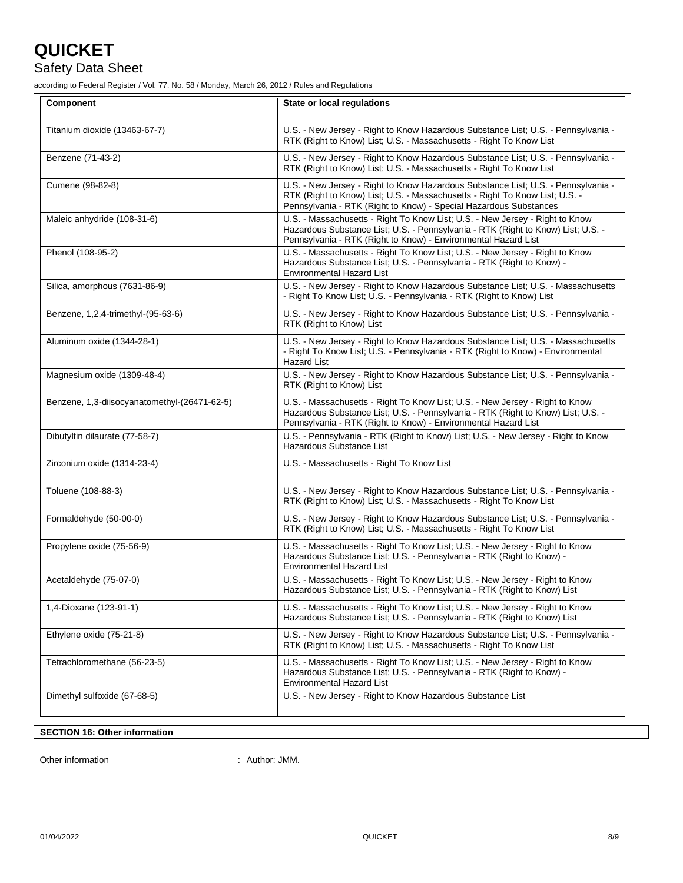### Safety Data Sheet

according to Federal Register / Vol. 77, No. 58 / Monday, March 26, 2012 / Rules and Regulations

| <b>Component</b>                             | <b>State or local requlations</b>                                                                                                                                                                                                     |
|----------------------------------------------|---------------------------------------------------------------------------------------------------------------------------------------------------------------------------------------------------------------------------------------|
| Titanium dioxide (13463-67-7)                | U.S. - New Jersey - Right to Know Hazardous Substance List; U.S. - Pennsylvania -<br>RTK (Right to Know) List; U.S. - Massachusetts - Right To Know List                                                                              |
| Benzene (71-43-2)                            | U.S. - New Jersey - Right to Know Hazardous Substance List; U.S. - Pennsylvania -<br>RTK (Right to Know) List; U.S. - Massachusetts - Right To Know List                                                                              |
| Cumene (98-82-8)                             | U.S. - New Jersey - Right to Know Hazardous Substance List; U.S. - Pennsylvania -<br>RTK (Right to Know) List; U.S. - Massachusetts - Right To Know List; U.S. -<br>Pennsylvania - RTK (Right to Know) - Special Hazardous Substances |
| Maleic anhydride (108-31-6)                  | U.S. - Massachusetts - Right To Know List; U.S. - New Jersey - Right to Know<br>Hazardous Substance List; U.S. - Pennsylvania - RTK (Right to Know) List; U.S. -<br>Pennsylvania - RTK (Right to Know) - Environmental Hazard List    |
| Phenol (108-95-2)                            | U.S. - Massachusetts - Right To Know List; U.S. - New Jersey - Right to Know<br>Hazardous Substance List; U.S. - Pennsylvania - RTK (Right to Know) -<br><b>Environmental Hazard List</b>                                             |
| Silica, amorphous (7631-86-9)                | U.S. - New Jersey - Right to Know Hazardous Substance List; U.S. - Massachusetts<br>- Right To Know List; U.S. - Pennsylvania - RTK (Right to Know) List                                                                              |
| Benzene, 1,2,4-trimethyl-(95-63-6)           | U.S. - New Jersey - Right to Know Hazardous Substance List; U.S. - Pennsylvania -<br>RTK (Right to Know) List                                                                                                                         |
| Aluminum oxide (1344-28-1)                   | U.S. - New Jersey - Right to Know Hazardous Substance List; U.S. - Massachusetts<br>- Right To Know List; U.S. - Pennsylvania - RTK (Right to Know) - Environmental<br><b>Hazard List</b>                                             |
| Magnesium oxide (1309-48-4)                  | U.S. - New Jersey - Right to Know Hazardous Substance List; U.S. - Pennsylvania -<br>RTK (Right to Know) List                                                                                                                         |
| Benzene, 1,3-diisocyanatomethyl-(26471-62-5) | U.S. - Massachusetts - Right To Know List; U.S. - New Jersey - Right to Know<br>Hazardous Substance List; U.S. - Pennsylvania - RTK (Right to Know) List; U.S. -<br>Pennsylvania - RTK (Right to Know) - Environmental Hazard List    |
| Dibutyltin dilaurate (77-58-7)               | U.S. - Pennsylvania - RTK (Right to Know) List; U.S. - New Jersey - Right to Know<br>Hazardous Substance List                                                                                                                         |
| Zirconium oxide (1314-23-4)                  | U.S. - Massachusetts - Right To Know List                                                                                                                                                                                             |
| Toluene (108-88-3)                           | U.S. - New Jersey - Right to Know Hazardous Substance List; U.S. - Pennsylvania -<br>RTK (Right to Know) List; U.S. - Massachusetts - Right To Know List                                                                              |
| Formaldehyde (50-00-0)                       | U.S. - New Jersey - Right to Know Hazardous Substance List; U.S. - Pennsylvania -<br>RTK (Right to Know) List; U.S. - Massachusetts - Right To Know List                                                                              |
| Propylene oxide (75-56-9)                    | U.S. - Massachusetts - Right To Know List; U.S. - New Jersey - Right to Know<br>Hazardous Substance List; U.S. - Pennsylvania - RTK (Right to Know) -<br><b>Environmental Hazard List</b>                                             |
| Acetaldehyde (75-07-0)                       | U.S. - Massachusetts - Right To Know List; U.S. - New Jersey - Right to Know<br>Hazardous Substance List; U.S. - Pennsylvania - RTK (Right to Know) List                                                                              |
| 1,4-Dioxane (123-91-1)                       | U.S. - Massachusetts - Right To Know List; U.S. - New Jersey - Right to Know<br>Hazardous Substance List; U.S. - Pennsylvania - RTK (Right to Know) List                                                                              |
| Ethylene oxide (75-21-8)                     | U.S. - New Jersey - Right to Know Hazardous Substance List; U.S. - Pennsylvania -<br>RTK (Right to Know) List; U.S. - Massachusetts - Right To Know List                                                                              |
| Tetrachloromethane (56-23-5)                 | U.S. - Massachusetts - Right To Know List; U.S. - New Jersey - Right to Know<br>Hazardous Substance List; U.S. - Pennsylvania - RTK (Right to Know) -<br><b>Environmental Hazard List</b>                                             |
| Dimethyl sulfoxide (67-68-5)                 | U.S. - New Jersey - Right to Know Hazardous Substance List                                                                                                                                                                            |

#### **SECTION 16: Other information**

Other information  $\qquad \qquad$ : Author: JMM.